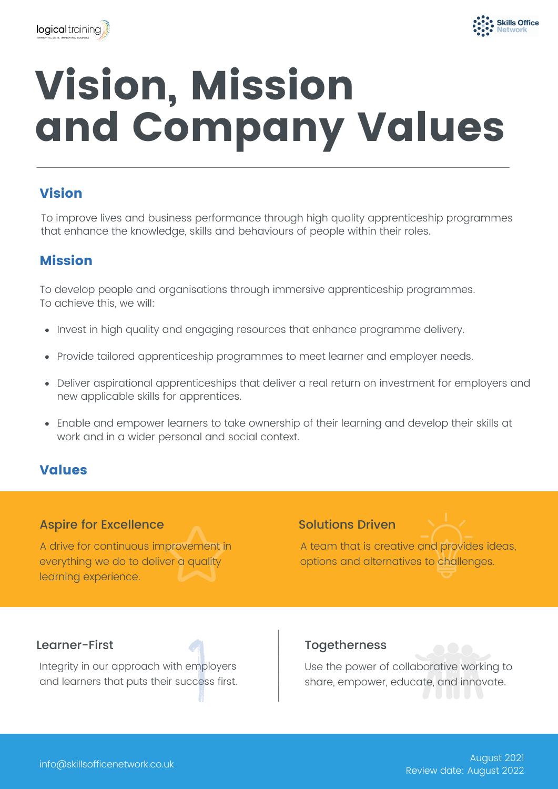



# Vision, Mission and Company Values

# Vision

To improve lives and business performance through high quality apprenticeship programmes that enhance the knowledge, skills and behaviours of people within their roles.

# Mission

To develop people and organisations through immersive apprenticeship programmes. To achieve this, we will:

- Invest in high quality and engaging resources that enhance programme delivery.
- Provide tailored apprenticeship programmes to meet learner and employer needs.
- Deliver aspirational apprenticeships that deliver a real return on investment for employers and new applicable skills for apprentices.
- Enable and empower learners to take ownership of their learning and develop their skills at work and in a wider personal and social context.

## Values

### Aspire for Excellence

A drive for continuous improvement in everything we do to deliver a quality learning experience.

### Solutions Driven

A team that is creative and provides ideas, options and alternatives to challenges.

### Learner-First **Togetherness**

Integrity in our approach with employers and learners that puts their success first.

Use the power of collaborative working to share, empower, educate, and innovate.